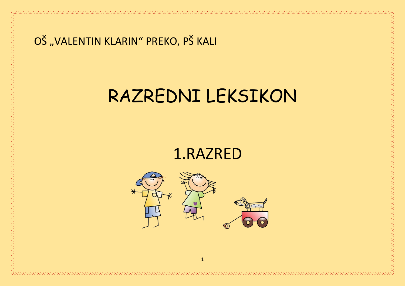#### OŠ "VALENTIN KLARIN" PREKO, PŠ KALI

## RAZREDNI LEKSIKON

### 1.RAZRED

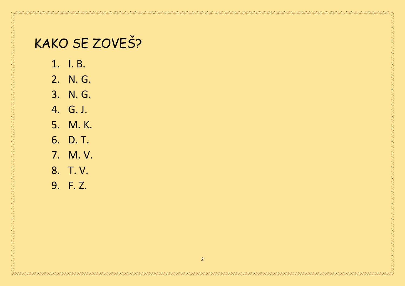## KAKO SE ZOVEŠ?

- 1. I. B.
- 2. N. G.
- 3. N. G.
- 4. G. J.
- 5. M. K.
- 6. D. T.
- 7. M. V.
- 8. T. V.

9. F. Z.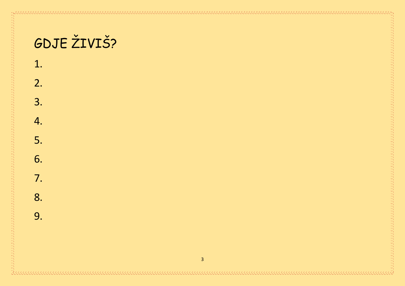$2.$ 

 $3.$ 

4.

5.

6.

7.

8.

9.

## GDJE ŽIVIŠ?

1.

 $\overline{3}$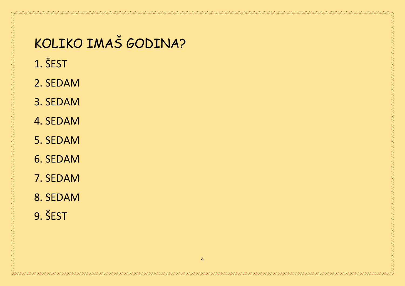## KOLIKO IMAŠ GODINA?

- 1. ŠEST
- 2. SEDAM
- 3. SEDAM
- 4. SEDAM
- 5. SEDAM
- 6. SEDAM
- 7. SEDAM
- 8. SEDAM

9. ŠEST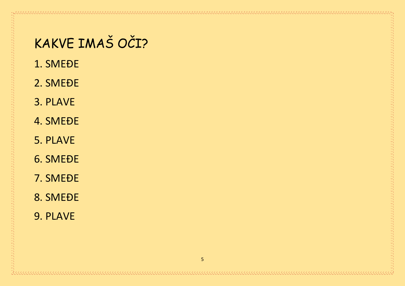## KAKVE IMAŠ OČI?

- 1. SMEĐE
- 2. SMEĐE
- 3. PLAVE
- 4. SMEĐE
- 5. PLAVE
- 6. SMEĐE
- 7. SMEĐE
- 8. SMEĐE
- 9. PLAVE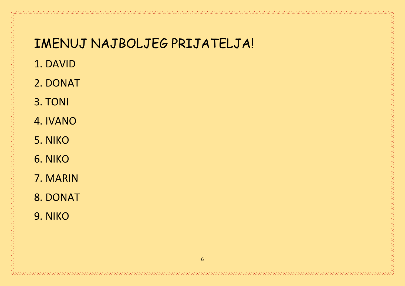#### IMENUJ NAJBOLJEG PRIJATELJA!

- 1. DAVID
- 2. DONAT
- 3. TONI
- 4. IVANO
- 5. NIKO
- 6. NIKO
- 7. MARIN
- 8. DONAT

9. NIKO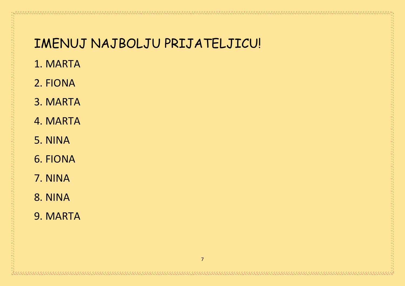#### IMENUJ NAJBOLJU PRIJATELJICU!

- 1. MARTA
- 2. FIONA
- 3. MARTA
- 4. MARTA
- 5. NINA
- 6. FIONA
- 7. NINA
- 8. NINA
- 9. MARTA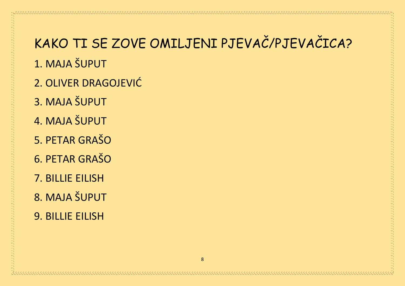# KAKO TI SE ZOVE OMILJENI PJEVAČ/PJEVAČICA?

- 1. MAJA ŠUPUT
- 2. OLIVER DRAGOJEVIĆ
- 3. MAJA ŠUPUT
- 4. MAJA ŠUPUT
- 5. PETAR GRAŠO
- 6. PETAR GRAŠO
- 7. BILLIE EILISH
- 8. MAJA ŠUPUT
- 9. BILLIE EILISH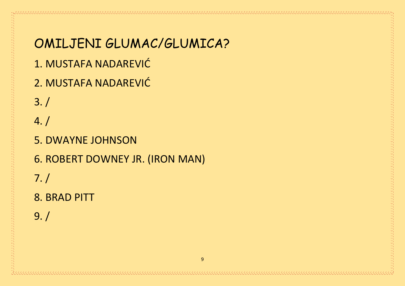OMILJENI GLUMAC/GLUMICA? 1. MUSTAFA NADAREVIĆ 2. MUSTAFA NADAREVIĆ 3. / 4. / 5. DWAYNE JOHNSON 6. ROBERT DOWNEY JR. (IRON MAN) 7. / 8. BRAD PITT 9. /

 $\overline{q}$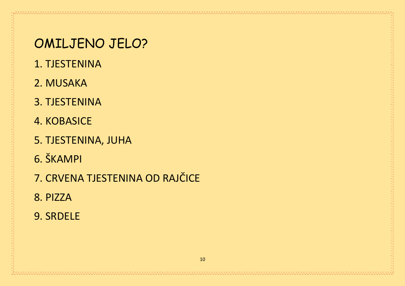#### OMILJENO JELO?

- 1. TJESTENINA
- 2. MUSAKA
- 3. TJESTENINA
- **4. KOBASICE**
- 5. TJESTENINA, JUHA
- 6. ŠKAMPI
- 7. CRVENA TJESTENINA OD RAJČICE
- 8. PIZZA
- 9. SRDELE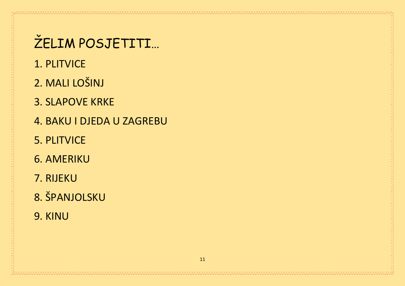# ŽELIM POSJETITI...

- 1. PLITVICE
- 2. MALI LOŠINJ
- **3. SLAPOVE KRKE**
- 4. BAKU I DJEDA U ZAGREBU
- 5. PLITVICE
- **6. AMERIKU**
- 7. RIJEKU

#### 8. ŠPANJOLSKU

9. KINU